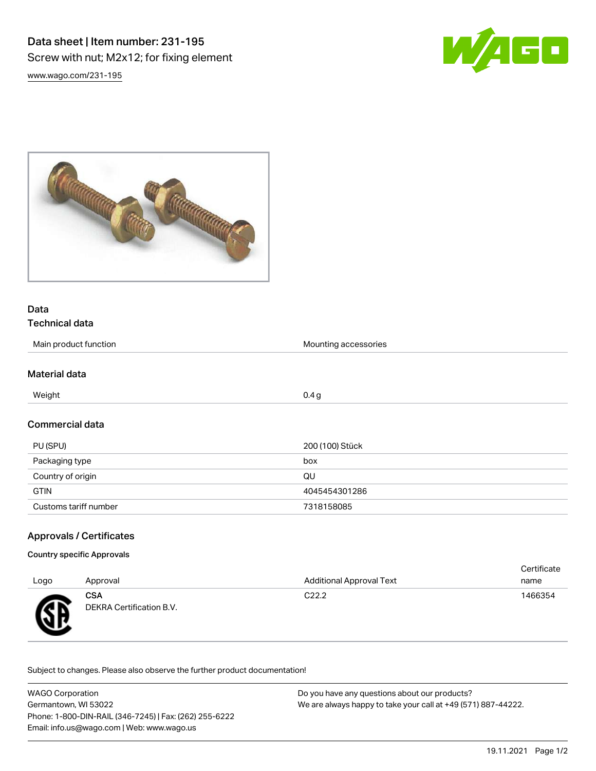



## Data

# Technical data

| Main product function | Mounting accessories |
|-----------------------|----------------------|
|                       |                      |
| Material data         |                      |
| Weight                | 0.4 <sub>g</sub>     |
| Commercial data       |                      |
| PU (SPU)              | 200 (100) Stück      |
| Packaging type        | box                  |
| Country of origin     | QU                   |
| <b>GTIN</b>           | 4045454301286        |

### Approvals / Certificates

#### Country specific Approvals

| Logo | Approval                               | <b>Additional Approval Text</b> | Certificate<br>name |
|------|----------------------------------------|---------------------------------|---------------------|
| ÆБ   | <b>CSA</b><br>DEKRA Certification B.V. | C <sub>22.2</sub>               | 1466354             |

Subject to changes. Please also observe the further product documentation!

Customs tariff number 7318158085

| <b>WAGO Corporation</b>                                | Do you have any questions about our products?                 |  |  |  |
|--------------------------------------------------------|---------------------------------------------------------------|--|--|--|
| Germantown. WI 53022                                   | We are always happy to take your call at +49 (571) 887-44222. |  |  |  |
| Phone: 1-800-DIN-RAIL (346-7245)   Fax: (262) 255-6222 |                                                               |  |  |  |
| Email: info.us@wago.com   Web: www.wago.us             |                                                               |  |  |  |